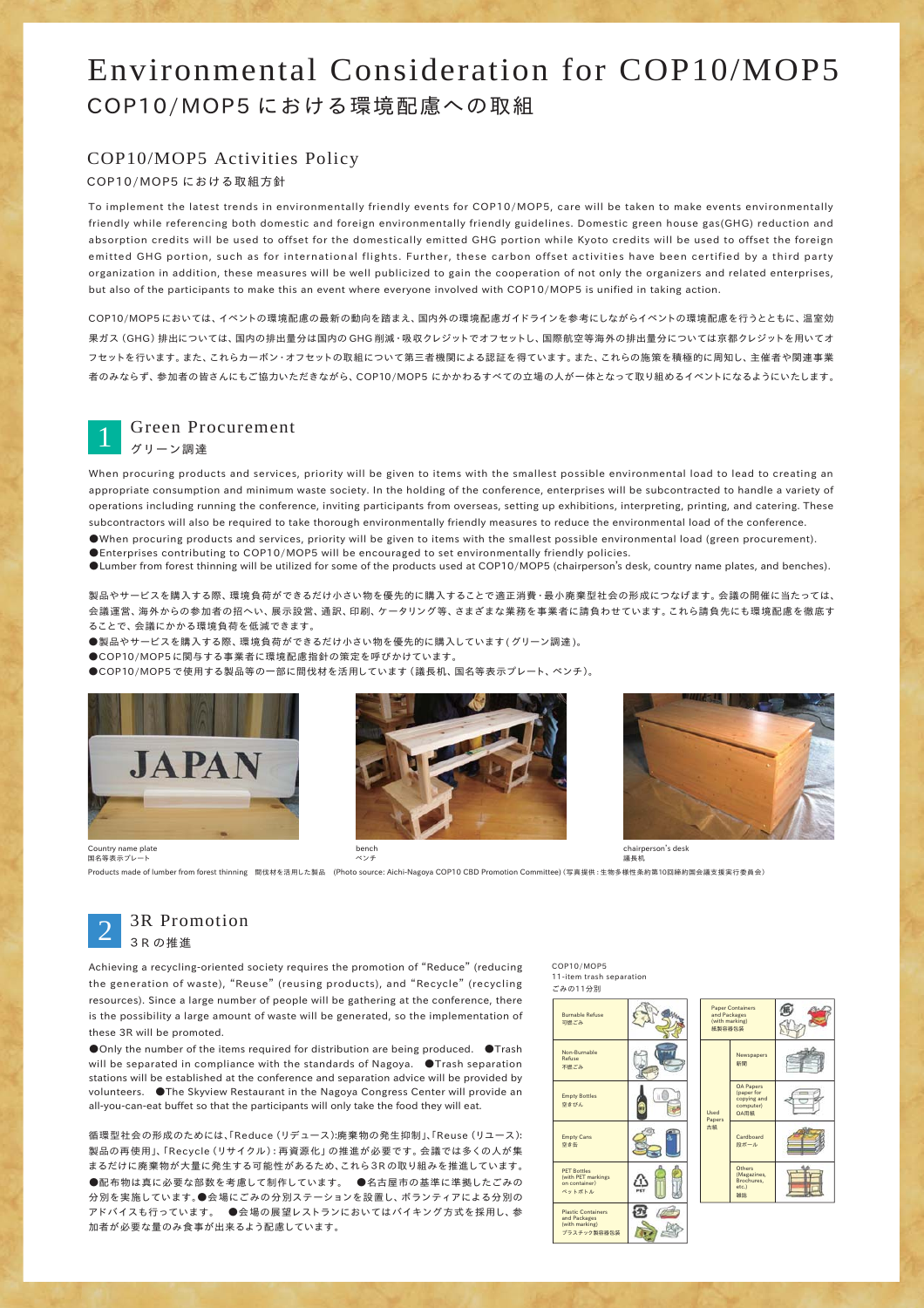### Environmental Consideration for COP10/MOP5 COP10/MOP5 における環境配慮への取組

#### COP10/MOP5 Activities Policy

#### COP10/MOP5 における取組方針

To implement the latest trends in environmentally friendly events for COP10/MOP5, care will be taken to make events environmentally friendly while referencing both domestic and foreign environmentally friendly guidelines. Domestic green house gas(GHG) reduction and absorption credits will be used to offset for the domestically emitted GHG portion while Kyoto credits will be used to offset the foreign emitted GHG portion, such as for international flights. Further, these carbon offset activities have been certified by a third party organization in addition, these measures will be well publicized to gain the cooperation of not only the organizers and related enterprises, but also of the participants to make this an event where everyone involved with COP10/MOP5 is unified in taking action.

COP10/MOP5 においては、イベントの環境配慮の最新の動向を踏まえ、国内外の環境配慮ガイドラインを参考にしながらイベントの環境配慮を行うとともに、温室効 果ガス(GHG)排出については、国内の排出量分は国内の GHG 削減・吸収クレジットでオフセットし、国際航空等海外の排出量分については京都クレジットを用いてオ フセットを行います。また、これらカーボン・オフセットの取組について第三者機関による認証を得ています。また、これらの施策を積極的に周知し、主催者や関連事業 者のみならず、参加者の皆さんにもご協力いただきながら、COP10/MOP5 にかかわるすべての立場の人が一体となって取り組めるイベントになるようにいたします。



#### Green Procurement

グリーン調達

When procuring products and services, priority will be given to items with the smallest possible environmental load to lead to creating an appropriate consumption and minimum waste society. In the holding of the conference, enterprises will be subcontracted to handle a variety of operations including running the conference, inviting participants from overseas, setting up exhibitions, interpreting, printing, and catering. These subcontractors will also be required to take thorough environmentally friendly measures to reduce the environmental load of the conference. ●When procuring products and services, priority will be given to items with the smallest possible environmental load (green procurement).

●Enterprises contributing to COP10/MOP5 will be encouraged to set environmentally friendly policies. ●Lumber from forest thinning will be utilized for some of the products used at COP10/MOP5 (chairperson's desk, country name plates, and benches).

製品やサービスを購入する際、環境負荷ができるだけ小さい物を優先的に購入することで適正消費・最小廃棄型社会の形成につなげます。会議の開催に当たっては、 会議運営、海外からの参加者の招へい、展示設営、通訳、印刷、ケータリング等、さまざまな業務を事業者に請負わせています。これら請負先にも環境配慮を徹底す ることで、会議にかかる環境負荷を低減できます。

●製品やサービスを購入する際、環境負荷ができるだけ小さい物を優先的に購入しています (グリーン調達)。

●COP10/MOP5に関与する事業者に環境配慮指針の策定を呼びかけています。

●COP10/MOP5 で使用する製品等の一部に間伐材を活用しています (議長机、国名等表示プレート、ベンチ)。







chairperson's desk 議長机

Products made of lumber from forest thinning 間伐材を活用した製品 (Photo source: Aichi-Nagoya COP10 CBD Promotion Committee)(写真提供:生物多様性条約第10回締約国会議支援実行委員会)

## 3R Promotion 2 3R の推進

Country name plate 国名等表示プレート

Achieving a recycling-oriented society requires the promotion of "Reduce" (reducing the generation of waste), "Reuse" (reusing products), and "Recycle" (recycling resources). Since a large number of people will be gathering at the conference, there is the possibility a large amount of waste will be generated, so the implementation of these 3R will be promoted.

●Only the number of the items required for distribution are being produced. ●Trash will be separated in compliance with the standards of Nagoya. **O**Trash separation stations will be established at the conference and separation advice will be provided by volunteers. ●The Skyview Restaurant in the Nagoya Congress Center will provide an all-you-can-eat buffet so that the participants will only take the food they will eat.

循環型社会の形成のためには、「Reduce (リデュース):廃棄物の発生抑制」、「Reuse (リュース): 製品の再使用」、「Recycle(リサイクル):再資源化」の推進が必要です。会議では多くの人が集 まるだけに廃棄物が大量に発生する可能性があるため、これら3R の取り組みを推進しています。 ●配布物は真に必要な部数を考慮して制作しています。●名古屋市の基準に準拠したごみの 分別を実施しています。●会場にごみの分別ステーションを設置し、ボランティアによる分別の アドバイスも行っています。 ●会場の展望レストランにおいてはバイキング方式を採用し、参 加者が必要な量のみ食事が出来るよう配慮しています。

COP10/MOP5 11-item trash separation

| ごみの11分別                                                                    |  |
|----------------------------------------------------------------------------|--|
| <b>Burnable Refuse</b><br>可燃ごみ                                             |  |
| Non-Burnable<br>Refuse<br>不燃ごみ                                             |  |
| <b>Empty Bottles</b><br>空きびん                                               |  |
| <b>Empty Cans</b><br>空き缶                                                   |  |
| <b>PET Bottles</b><br>(with PET markings<br>on container)<br>ベットボトル        |  |
| <b>Plastic Containers</b><br>and Packages<br>(with marking)<br>プラスチック製容器包装 |  |